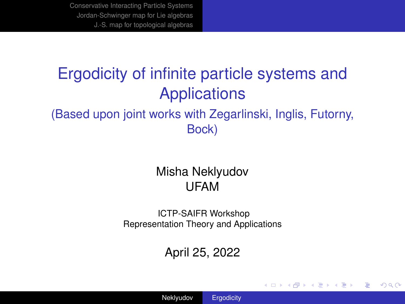### <span id="page-0-0"></span>Ergodicity of infinite particle systems and **Applications** (Based upon joint works with Zegarlinski, Inglis, Futorny, Bock)

### Misha Neklyudov UFAM

ICTP-SAIFR Workshop Representation Theory and Applications

### April 25, 2022

イロト イ押 トイヨ トイヨ トー

÷.

 $2Q$ 

Neklyudov [Ergodicity](#page-22-0)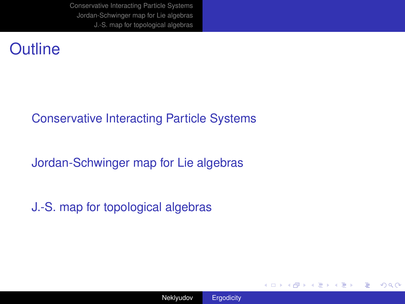### **Outline**

### [Conservative Interacting Particle Systems](#page-2-0)

[Jordan-Schwinger map for Lie algebras](#page-8-0)

[J.-S. map for topological algebras](#page-12-0)

**K ロ ト K 何 ト K ヨ ト K ヨ ト** 

÷.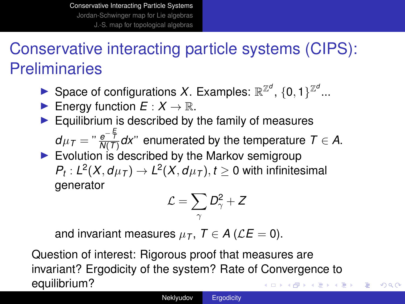# <span id="page-2-0"></span>Conservative interacting particle systems (CIPS): **Preliminaries**

- Space of configurations X. Examples:  $\mathbb{R}^{\mathbb{Z}^d}$ ,  $\{0,1\}^{\mathbb{Z}^d}$ ...
- **Figure 1** Energy function  $E: X \to \mathbb{R}$ .
- $\blacktriangleright$  Equilibrium is described by the family of measures

 $d\mu_{\mathcal{T}} = " \frac{e^{-\frac{\mathcal{F}}{\mathcal{T}}}}{N(\mathcal{T})} d\mathsf{x}$ " enumerated by the temperature  $\mathcal{T} \in \mathcal{A}$ .

 $\blacktriangleright$  Evolution is described by the Markov semigroup  $P_t: L^2(X, d\mu_T) \to L^2(X, d\mu_T), t \geq 0$  with infinitesimal generator

$$
\mathcal{L}=\sum_{\gamma}D_{\gamma}^2+Z
$$

and invariant measures  $\mu$ <sub>*T*</sub>,  $T \in A$  ( $\mathcal{L}E = 0$ ).

Question of interest: Rigorous proof that measures are invariant? Ergodicity of the system? Rate of Convergence to equilibrium? メロトメ 御 トメ 君 トメ 君 トー

 $2990$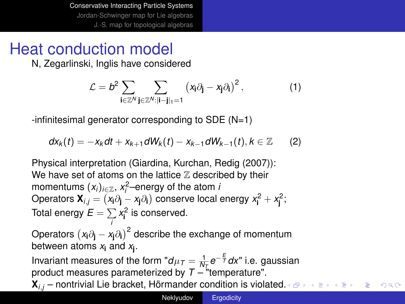## Heat conduction model

N, Zegarlinski, Inglis have considered

$$
\mathcal{L} = b^2 \sum_{\mathbf{i} \in \mathbb{Z}^N} \sum_{\mathbf{j} \in \mathbb{Z}^N: |\mathbf{i} - \mathbf{j}|_1 = 1} \left( x_{\mathbf{i}} \partial_{\mathbf{j}} - x_{\mathbf{j}} \partial_{\mathbf{i}} \right)^2, \tag{1}
$$

 $-$ infinitesimal generator corresponding to SDE ( $N=1$ )

$$
dx_k(t) = -x_k dt + x_{k+1} dW_k(t) - x_{k-1} dW_{k-1}(t), k \in \mathbb{Z}
$$
 (2)

Physical interpretation (Giardina, Kurchan, Redig (2007)): We have set of atoms on the lattice  $Z$  described by their momentums  $(x_i)_{i \in \mathbb{Z}}$ ,  $x_i^2$ –energy of the atom *i* Operators  $\mathbf{X}_{i,j} = \left(x_i \partial_j - x_j \partial_i\right)$  conserve local energy  $x_i^2 + x_j^2$ ; Total energy  $E = \sum_i x_i^2$  is conserved. *i*

Operators *x***i**∂**<sup>j</sup>** − *x***j**∂**<sup>i</sup>** 2 describe the exchange of momentum between atoms *x***<sup>i</sup>** and *x***<sup>j</sup>** .

Invariant measures of the form " $d\mu_T = \frac{1}{N_L}e^{-\frac{E}{T}}dx$ " i.e. gaussian product measures parameterized by  $T -$  "temperature".

 $\mathbf{X}_{i,j}$  – nontrivial Lie bracket, Hörmander condition is vi[ola](#page-2-0)t[ed.](#page-4-0)  $QQ$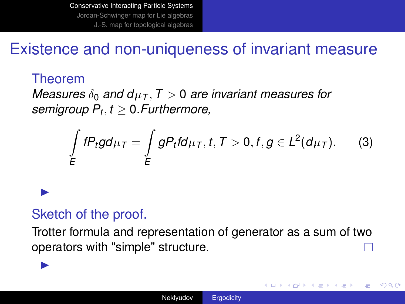### <span id="page-4-0"></span>Existence and non-uniqueness of invariant measure

### Theorem

 $\blacktriangleright$ 

 $\blacktriangleright$ 

*Measures*  $\delta_0$  *and*  $d\mu$ *<sub>T</sub>*,  $T > 0$  *are invariant measures for semigroup P<sup>t</sup>* , *t* ≥ 0*.Furthermore,*

$$
\int\limits_{E} fP_t g d\mu_T = \int\limits_{E} gP_t f d\mu_T, t, T > 0, f, g \in L^2(d\mu_T). \tag{3}
$$

### Sketch of the proof.

Trotter formula and representation of generator as a sum of two operators with "simple" structure.

4 ロ ) (何 ) (日 ) (日 )

÷.  $QQ$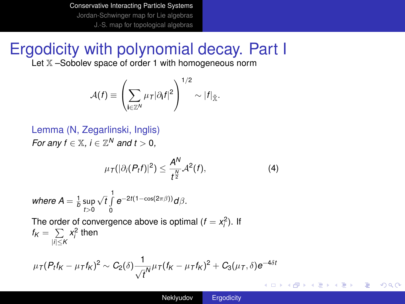## Ergodicity with polynomial decay. Part I

Let  $X$ -Sobolev space of order 1 with homogeneous norm

$$
\mathcal{A}(f) \equiv \left(\sum_{\mathbf{i}\in\mathbb{Z}^N}\mu_{\mathcal{T}}|\partial_{\mathbf{i}}f|^2\right)^{1/2}\sim |f|_{\tilde{\mathbb{X}}}.
$$

Lemma (N, Zegarlinski, Inglis) *For any f*  $\in \mathbb{X}$ *, i*  $\in \mathbb{Z}^N$  *and t* > 0*,* 

$$
\mu_{\mathcal{T}}(|\partial_i(P_tf)|^2) \leq \frac{A^N}{t^{\frac{N}{2}}}\mathcal{A}^2(f),\tag{4}
$$

where  $A = \frac{1}{b} \sup_{t>0}$  $√t$ <sup>1</sup> 0 *e*−2*t*(1−cos(2πβ))*d*β*.*

The order of convergence above is optimal  $(f = x_i^2)$ . If  $f_K = \sum_{i=1}^n x_i^2$  then |*i*|≤*K*

$$
\mu_{\mathcal{T}}(P_t f_K - \mu_{\mathcal{T}} f_K)^2 \sim C_2(\delta) \frac{1}{\sqrt{t}} \mu_{\mathcal{T}}(f_K - \mu_{\mathcal{T}} f_K)^2 + C_3(\mu_{\mathcal{T}}, \delta) e^{-4\delta t}
$$

÷.  $QQ$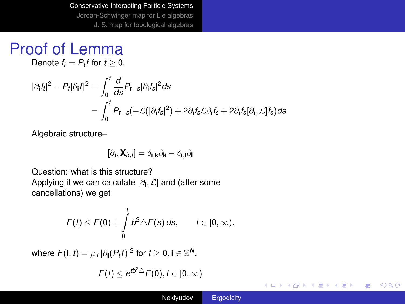### Proof of Lemma

Denote  $f_t = P_t f$  for  $t \geq 0$ .

$$
\begin{aligned} |\partial_t f_t|^2 - P_t |\partial_t f|^2 &= \int_0^t \frac{d}{ds} P_{t-s} |\partial_t f_s|^2 ds \\ &= \int_0^t P_{t-s}(-\mathcal{L}(|\partial_t f_s|^2) + 2\partial_t f_s \mathcal{L} \partial_t f_s + 2\partial_t f_s |\partial_t, \mathcal{L}] f_s) ds \end{aligned}
$$

Algebraic structure–

$$
[\partial_{\bf i}, {\bf X}_{k,l}]=\delta_{{\bf i},{\bf k}}\partial_{\bf k}-\delta_{{\bf i},{\bf l}}\partial_{\bf l}
$$

Question: what is this structure? Applying it we can calculate  $[\partial_i, \mathcal{L}]$  and (after some cancellations) we get

$$
F(t) \leq F(0) + \int_{0}^{t} b^2 \triangle F(s) ds, \qquad t \in [0, \infty).
$$

where  $F(\mathbf{i}, t) = \mu_{\mathcal{T}} |\partial_{\mathbf{i}}(P_t f)|^2$  for  $t \geq 0, \mathbf{i} \in \mathbb{Z}^N$ .

$$
F(t) \leq e^{tb^2 \triangle} F(0), t \in [0, \infty)
$$

イロト イ押 トイヨ トイヨ トー

 $\mathbb{R}^+$  $2990$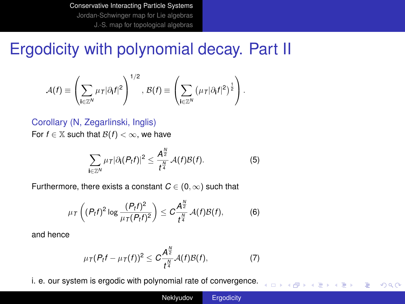### <span id="page-7-0"></span>Ergodicity with polynomial decay. Part II

$$
\mathcal{A}(f) \equiv \left(\sum_{\mathbf{i}\in\mathbb{Z}^N}\mu_T|\partial_{\mathbf{i}}f|^2\right)^{1/2}, \ \mathcal{B}(f) \equiv \left(\sum_{\mathbf{i}\in\mathbb{Z}^N}\left(\mu_T|\partial_{\mathbf{i}}f|^2\right)^{\frac{1}{2}}\right).
$$

#### Corollary (N, Zegarlinski, Inglis)

For  $f \in \mathbb{X}$  such that  $\mathcal{B}(f) < \infty$ , we have

$$
\sum_{\mathbf{i}\in\mathbb{Z}^N}\mu_{\mathsf{T}}|\partial_{\mathbf{i}}(P_{\mathbf{i}}f)|^2\leq \frac{A^{\frac{N}{2}}}{t^{\frac{N}{4}}}\mathcal{A}(f)\mathcal{B}(f).
$$
 (5)

Furthermore, there exists a constant  $C \in (0, \infty)$  such that

$$
\mu_{\mathcal{T}}\left((P_t f)^2 \log \frac{(P_t f)^2}{\mu_{\mathcal{T}}(P_t f)^2}\right) \leq C \frac{A^{\frac{N}{2}}}{t^{\frac{N}{4}}} \mathcal{A}(f) \mathcal{B}(f), \tag{6}
$$

and hence

$$
\mu_T(P_tf-\mu_T(f))^2\leq C\frac{A^{\frac{N}{2}}}{t^{\frac{N}{4}}}\mathcal{A}(f)\mathcal{B}(f),\qquad \qquad (7)
$$

i. e. our system is ergodic with polynomial rate of convergence.

イロト イ押 トイヨ トイヨ トー

重し  $2990$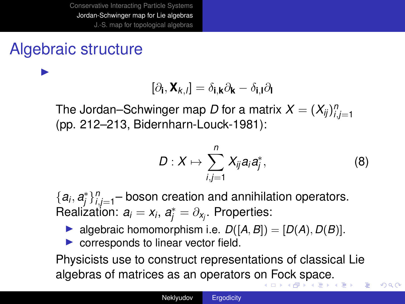## <span id="page-8-0"></span>Algebraic structure

 $\blacktriangleright$ 

$$
[\partial_{\mathbf{i}}, \mathbf{X}_{k,l}] = \delta_{\mathbf{i},\mathbf{k}} \partial_{\mathbf{k}} - \delta_{\mathbf{i},\mathbf{l}} \partial_{\mathbf{l}}
$$

The Jordan–Schwinger map *D* for a matrix  $X = (X_{ij})_{i,j=1}^n$ (pp. 212–213, Bidernharn-Louck-1981):

$$
D: X \mapsto \sum_{i,j=1}^n X_{ij} a_i a_j^*, \qquad (8)
$$

 $2Q$ 

 ${a_i, a_j^*}_{i,j=1}^n$  boson creation and annihilation operators.  $\mathsf{Realization}\colon a_i = x_i, \, \boldsymbol{a}_j^* = \partial_{x_j}.$  Properties:

- $\blacktriangleright$  algebraic homomorphism i.e.  $D([A, B]) = [D(A), D(B)].$
- $\triangleright$  corresponds to linear vector field.

Physicists use to construct representations of classical Lie algebras of matrices as an operators o[n](#page-7-0) [Fo](#page-9-0)[c](#page-7-0)[k](#page-8-0) [s](#page-9-0)[p](#page-7-0)[a](#page-8-0)[c](#page-11-0)[e](#page-12-0)[.](#page-7-0)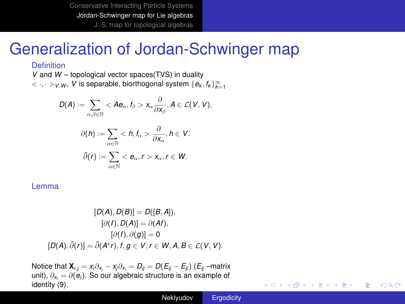### <span id="page-9-0"></span>Generalization of Jordan-Schwinger map

#### **Definition**

*<sup>V</sup>* and *<sup>W</sup>* – topological vector spaces(TVS) in duality  $< \cdot, \cdot>_{V,W}, V$  is separable, biorthogonal system  $\{e_k, f_k\}_{k=1}^{\infty}$ 

$$
D(A):=\sum_{\alpha,\beta\in\mathbb{N}}x_{\alpha}\frac{\partial}{\partial x_{\beta}},A\in\mathcal{L}(V,V),
$$

$$
\partial(h) := \sum_{\alpha \in \mathbb{N}} < h, \, t_{\alpha} > \frac{\partial}{\partial x_{\alpha}}, \, h \in V.
$$
\n
$$
\bar{\partial}(r) := \sum_{\alpha \in \mathbb{N}} < e_{\alpha}, \, r > x_{\alpha}, \, r \in W.
$$

Lemma

$$
[D(A), D(B)] = D([B, A]),
$$
  
\n
$$
[\partial(f), D(A)] = \partial(At),
$$
  
\n
$$
[\partial(f), \partial(g)] = 0
$$
  
\n
$$
[D(A), \overline{\partial}(r)] = \overline{\partial}(A^*r), f, g \in V, r \in W, A, B \in \mathcal{L}(V, V).
$$

Notice that  $\mathbf{X}_{i,j} = x_i \partial_{x_i} - x_j \partial_{x_i} = D_{ij} = D(E_{ij} - E_{ji})$  ( $E_{ij}$  –matrix unit),  $\partial_{x_i} = \partial(\mathbf{e}_i)$  $\partial_{x_i} = \partial(\mathbf{e}_i)$  $\partial_{x_i} = \partial(\mathbf{e}_i)$ . So our algebraic structure is an example of identity (9).

<span id="page-9-1"></span>**K ロ ▶ K 何 ▶ K ヨ ▶ K ヨ ▶** 

重し  $2Q$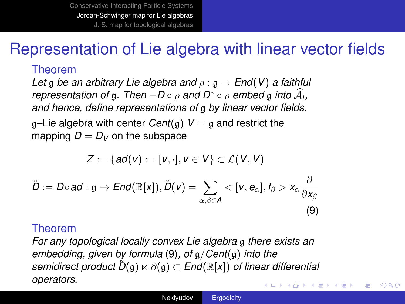### Representation of Lie algebra with linear vector fields

#### Theorem

*Let* g *be an arbitrary Lie algebra and* ρ : g → *End*(*V*) *a faithful representation of* g. *Then* −*D* ∘  $\rho$  *and D*<sup>∗</sup> ∘  $\rho$  *embed* g *into*  $\hat{A}_l$ , *and hence, define representations of* g *by linear vector fields.*

 $q$ –Lie algebra with center *Cent*( $q$ )  $V = q$  and restrict the mapping  $D = D_V$  on the subspace

$$
Z:=\{ad(v):=[v,\cdot],v\in V\}\subset \mathcal{L}(V,V)
$$

<span id="page-10-0"></span>
$$
\tilde{D} := D \circ \mathbf{ad} : \mathfrak{g} \to \mathit{End}(\mathbb{R}[\overline{x}]), \tilde{D}(v) = \sum_{\alpha, \beta \in A} < [v, e_{\alpha}], f_{\beta} > x_{\alpha} \frac{\partial}{\partial x_{\beta}}
$$
\n
$$
(9)
$$

#### Theorem

*For any topological locally convex L[ie a](#page-10-0)lgebra* g *there exists an embedding, given by formula* (9)*, of* g/*Cent*(g) *into the*  $s$ *emidirect product*  $\overline{D}(\mathfrak{g}) \ltimes \partial(\mathfrak{g}) \subset$  *End*( $\mathbb{R}[\overline{x}]$ ) *of linear differential operators.* イロト イ団ト イヨト イヨト

÷.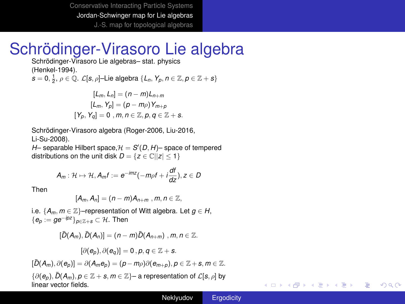## <span id="page-11-0"></span>Schrödinger-Virasoro Lie algebra

Schrödinger-Virasoro Lie algebras– stat. physics (Henkel-1994).  $s = 0, \frac{1}{2}, \rho \in \mathbb{Q}.$   $\mathcal{L}[s, \rho]$ -Lie algebra  $\{L_n, Y_p, n \in \mathbb{Z}, p \in \mathbb{Z} + s\}$ 

$$
[L_m, L_n] = (n - m)L_{n+m}
$$
  
\n
$$
[L_m, Y_p] = (p - m\rho)Y_{m+p}
$$
  
\n
$$
[Y_p, Y_q] = 0, m, n \in \mathbb{Z}, p, q \in \mathbb{Z} + s.
$$

Schrödinger-Virasoro algebra (Roger-2006, Liu-2016, Li-Su-2008).

 $H$ – separable Hilbert space,  $H = S'(D, H)$ – space of tempered distributions on the unit disk  $D = \{z \in \mathbb{C} \mid |z| < 1\}$ 

$$
A_m: \mathcal{H} \mapsto \mathcal{H}, A_m f := e^{-imz}(-m\rho f + i\frac{df}{dz}), z \in D
$$

Then

$$
[A_m, A_n] = (n-m)A_{n+m}, m, n \in \mathbb{Z},
$$

i.e.  ${A_m, m \in \mathbb{Z}}$  –representation of Witt algebra. Let  $g \in H$ ,  ${e_n := ge^{-ipz}}_{n∈\mathbb{Z}+s}$  ⊂ H. Then

$$
[\bar{D}(A_m),\bar{D}(A_n)]=(n-m)\bar{D}(A_{n+m}), m,n\in\mathbb{Z}.
$$

$$
[\partial(e_p),\partial(e_q)]=0\,,\rho,q\in\mathbb{Z}+s.
$$

 $[\bar{D}(A_m), \partial(e_n)]=\partial(A_m e_n)=(p-m\rho)\partial(e_{m+n}), p\in \mathbb{Z}+s, m\in \mathbb{Z}.$ 

 $\{\partial(e_p), \overline{D}(A_m), p \in \mathbb{Z} + s, m \in \mathbb{Z}\}$ – a representation of  $\mathcal{L}[s, \rho]$  by linear vector fields.

イロト イ押 トイヨ トイヨ トー

÷.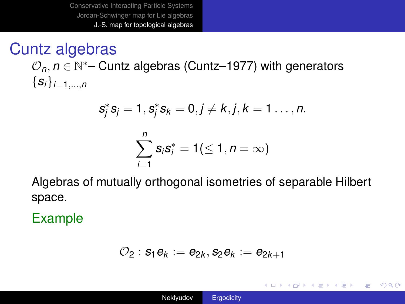## <span id="page-12-0"></span>Cuntz algebras

 $\mathcal{O}_n$ ,  $n \in \mathbb{N}^*$ – Cuntz algebras (Cuntz–1977) with generators  $\{S_i\}_{i=1,...,n}$ 

$$
s_j^* s_j = 1, s_j^* s_k = 0, j \neq k, j, k = 1 \dots, n.
$$

$$
\sum_{i=1}^n s_i s_i^* = 1 (\leq 1, n = \infty)
$$

Algebras of mutually orthogonal isometries of separable Hilbert space.

Example

$$
\mathcal{O}_2: s_1e_k:=e_{2k}, s_2e_k:=e_{2k+1}
$$

イロト イ押 トイヨ トイヨ トー

重。  $2Q$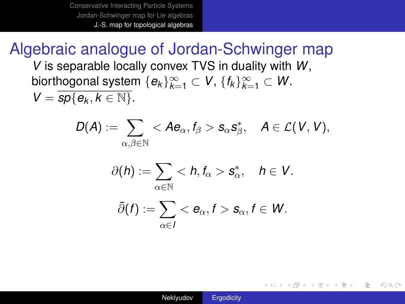### Algebraic analogue of Jordan-Schwinger map

*V* is separable locally convex TVS in duality with *W*,  $\mathsf{biorthogonal system}\ \{e_k\}_{k=1}^\infty\subset \mathsf{V},\ \{f_k\}_{k=1}^\infty\subset \mathsf{W}.$ 

 $V = sp\{e_k, k \in \mathbb{N}\}.$ 

$$
D({\boldsymbol{A}}) := \sum_{\alpha,\beta \in \mathbb{N}} <{\boldsymbol{A}} {\boldsymbol{e}}_\alpha, f_\beta > {\boldsymbol{s}}_\alpha {\boldsymbol{s}}^*_\beta, \quad {\boldsymbol{A}} \in \mathcal{L}({\boldsymbol{V}},{\boldsymbol{V}}),
$$

$$
\partial(h) := \sum_{\alpha \in \mathbb{N}} < h, f_{\alpha} > s_{\alpha}^*, \quad h \in V.
$$

$$
\bar{\partial}(f):=\sum_{\alpha\in I}<\mathbf{e}_{\alpha},f>\mathbf{s}_{\alpha},f\in W.
$$

イロト イ押 トイヨ トイヨト

÷.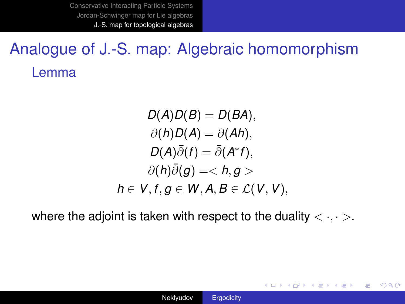# Analogue of J.-S. map: Algebraic homomorphism Lemma

 $D(A)D(B) = D(BA),$  $\partial(h)D(A) = \partial(Ah)$ ,  $D(A)\bar{\partial}(f) = \bar{\partial}(A^*f),$  $\partial(h)\bar{\partial}(q) = < h, q>$ *h* ∈  $V, f, g$  ∈  $W, A, B$  ∈  $L(V, V)$ ,

where the adjoint is taken with respect to the duality  $\langle \cdot, \cdot \rangle$ .

**K ロ ▶ K 何 ▶ K ヨ ▶ K ヨ ▶** 

(重)  $QQ$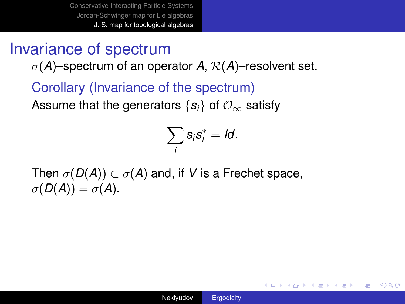## Invariance of spectrum

 $\sigma(A)$ –spectrum of an operator A,  $\mathcal{R}(A)$ –resolvent set.

Corollary (Invariance of the spectrum) Assume that the generators  $\{s_i\}$  of  $\mathcal{O}_\infty$  satisfy

$$
\sum_i s_i s_i^* = Id.
$$

Then  $\sigma(D(A)) \subset \sigma(A)$  and, if V is a Frechet space,  $\sigma(D(A)) = \sigma(A).$ 

**≮ロト ⊀伊 ▶ ⊀ ヨ ▶ ⊀ ヨ ▶** 

重し  $QQ$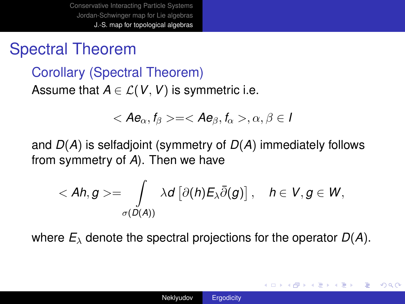## Spectral Theorem

Corollary (Spectral Theorem) Assume that  $A \in \mathcal{L}(V, V)$  is symmetric i.e.

$$
=,\alpha,\beta\in I
$$

and *D*(*A*) is selfadjoint (symmetry of *D*(*A*) immediately follows from symmetry of *A*). Then we have

$$
\langle Ah, g \rangle = \int\limits_{\sigma(D(A))} \lambda d \left[ \partial(h) E_{\lambda} \overline{\partial}(g) \right], \quad h \in V, g \in W,
$$

where  $E_\lambda$  denote the spectral projections for the operator  $D(A)$ .

K ロ ▶ K 御 ▶ K ヨ ▶ K ヨ ▶ ...

÷.  $QQ$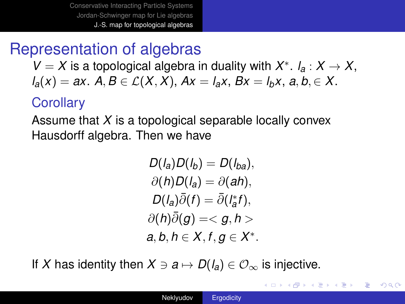## Representation of algebras

 $V = X$  is a topological algebra in duality with  $X^*$ .  $I_a: X \to X$ ,  $l_a(x) = ax$ .  $A, B \in \mathcal{L}(X, X)$ ,  $Ax = l_a x$ ,  $Bx = l_b x$ ,  $a, b \in X$ .

### **Corollary**

Assume that *X* is a topological separable locally convex Hausdorff algebra. Then we have

$$
D(l_a)D(l_b) = D(l_{ba}),
$$
  
\n
$$
\partial(h)D(l_a) = \partial(ah),
$$
  
\n
$$
D(l_a)\bar{\partial}(f) = \bar{\partial}(l_a^*f),
$$
  
\n
$$
\partial(h)\bar{\partial}(g) = \langle g, h \rangle
$$
  
\n
$$
a, b, h \in X, f, g \in X^*.
$$

If X has identity then  $X \ni a \mapsto D(l_a) \in \mathcal{O}_{\infty}$  is injective.

イロト イ伊 トイヨ トイヨ トー

G.

 $QQ$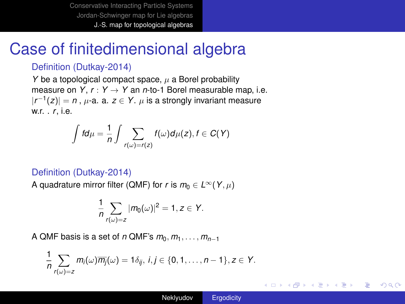## Case of finitedimensional algebra

#### Definition (Dutkay-2014)

*Y* be a topological compact space,  $\mu$  a Borel probability measure on  $Y, r: Y \rightarrow Y$  an *n*-to-1 Borel measurable map, i.e.  $|r^{-1}(z)| = n$ ,  $\mu$ -a. a.  $z \in Y$ .  $\mu$  is a strongly invariant measure w.r. . *<sup>r</sup>*, i.e.

$$
\int fd\mu=\frac{1}{n}\int\sum_{r(\omega)=r(z)}f(\omega)d\mu(z), f\in C(Y)
$$

#### Definition (Dutkay-2014)

A quadrature mirror filter (QMF) for *r* is  $m_0 \in L^{\infty}(Y, \mu)$ 

$$
\frac{1}{n}\sum_{r(\omega)=z}|m_0(\omega)|^2=1, z\in Y.
$$

A QMF basis is a set of *n* QMF's  $m_0, m_1, \ldots, m_{n-1}$ 

$$
\frac{1}{n}\sum_{r(\omega)=z}m_i(\omega)\overline{m_j}(\omega)=1\delta_{ij}, i,j\in\{0,1,\ldots,n-1\}, z\in Y.
$$

イロト イ団ト イヨト イヨト

÷.  $QQ$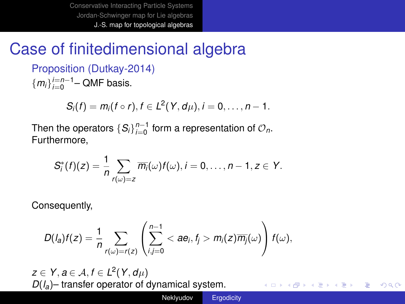## Case of finitedimensional algebra

Proposition (Dutkay-2014)  ${m_i}_{i=0}^{i=n-1}$  – QMF basis.

 $S_i(f) = m_i(f \circ r), f \in L^2(Y, d\mu), i = 0, \ldots, n - 1.$ 

Then the operators  $\{S_i\}_{i=0}^{n-1}$  form a representation of  $\mathcal{O}_n$ . Furthermore,

$$
S_i^*(f)(z)=\frac{1}{n}\sum_{r(\omega)=z}\overline{m_i}(\omega)f(\omega), i=0,\ldots,n-1, z\in Y.
$$

Consequently,

$$
D(I_a)f(z)=\frac{1}{n}\sum_{r(\omega)=r(z)}\left(\sum_{i,j=0}^{n-1}<\textit{ae}_i,f_j>m_i(z)\overline{m_j}(\omega)\right)f(\omega),
$$

 $z \in Y, a \in \mathcal{A}, f \in L^2(Y, d\mu)$ *D*(*la*)– transfer operator of dynamical system.

メロトメ 御 トメ 君 トメ 君 トッ

÷.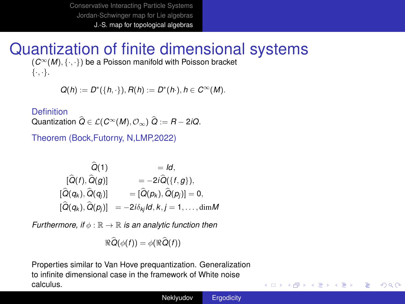# Quantization of finite dimensional systems

(*C*∞(*M*), {·, ·}) be a Poisson manifold with Poisson bracket  $\{\cdot,\cdot\}.$ 

$$
Q(h) := D^*(\{h, \cdot\}), R(h) := D^*(h\cdot), h \in C^{\infty}(M).
$$

Definition

Quantization  $\widehat{Q} \in \mathcal{L}(C^{\infty}(M), \mathcal{O}_{\infty})$   $\widehat{Q} := R - 2iQ$ .

Theorem (Bock,Futorny, N,LMP,2022)

$$
\begin{array}{ccc}\n\widehat{Q}(1) & = Id, \\
[\widehat{Q}(f), \widehat{Q}(g)] & = -2i\widehat{Q}(\{f,g\}), \\
[\widehat{Q}(q_k), \widehat{Q}(q_j)] & = [\widehat{Q}(p_k), \widehat{Q}(p_j)] = 0, \\
[\widehat{Q}(q_k), \widehat{Q}(p_j)] & = -2i\delta_{kj}Id, k, j = 1, ..., dimM\n\end{array}
$$

*Furthermore, if*  $\phi$  :  $\mathbb{R} \to \mathbb{R}$  *is an analytic function then* 

$$
\Re \widehat{Q}(\phi(f))=\phi(\Re \widehat{Q}(f))
$$

Properties similar to Van Hove prequantization. Generalization to infinite dimensional case in the framework of White noise calculus.

イロメ 不優 メイ君 メイ君 メー

重し  $2Q$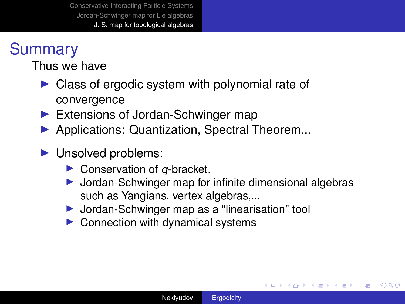## **Summary**

Thus we have

- $\triangleright$  Class of ergodic system with polynomial rate of convergence
- $\blacktriangleright$  Extensions of Jordan-Schwinger map
- **Applications: Quantization, Spectral Theorem...**
- $\blacktriangleright$  Unsolved problems:
	- ▶ Conservation of *q*-bracket.
	- $\triangleright$  Jordan-Schwinger map for infinite dimensional algebras such as Yangians, vertex algebras,...
	- ▶ Jordan-Schwinger map as a "linearisation" tool
	- $\triangleright$  Connection with dynamical systems

イロト イ押 トイヨ トイヨ トー

B

 $QQ$